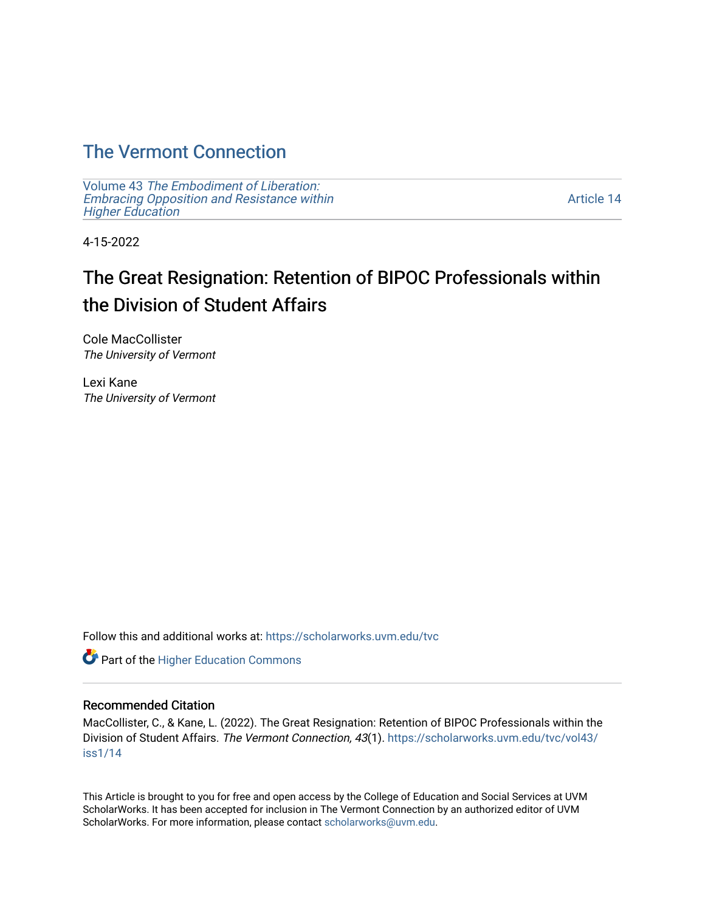## [The Vermont Connection](https://scholarworks.uvm.edu/tvc)

Volume 43 [The Embodiment of Liberation:](https://scholarworks.uvm.edu/tvc/vol43) [Embracing Opposition and Resistance within](https://scholarworks.uvm.edu/tvc/vol43)  [Higher Education](https://scholarworks.uvm.edu/tvc/vol43) 

[Article 14](https://scholarworks.uvm.edu/tvc/vol43/iss1/14) 

4-15-2022

# The Great Resignation: Retention of BIPOC Professionals within the Division of Student Affairs

Cole MacCollister The University of Vermont

Lexi Kane The University of Vermont

Follow this and additional works at: [https://scholarworks.uvm.edu/tvc](https://scholarworks.uvm.edu/tvc?utm_source=scholarworks.uvm.edu%2Ftvc%2Fvol43%2Fiss1%2F14&utm_medium=PDF&utm_campaign=PDFCoverPages)



## Recommended Citation

MacCollister, C., & Kane, L. (2022). The Great Resignation: Retention of BIPOC Professionals within the Division of Student Affairs. The Vermont Connection, 43(1). [https://scholarworks.uvm.edu/tvc/vol43/](https://scholarworks.uvm.edu/tvc/vol43/iss1/14?utm_source=scholarworks.uvm.edu%2Ftvc%2Fvol43%2Fiss1%2F14&utm_medium=PDF&utm_campaign=PDFCoverPages) [iss1/14](https://scholarworks.uvm.edu/tvc/vol43/iss1/14?utm_source=scholarworks.uvm.edu%2Ftvc%2Fvol43%2Fiss1%2F14&utm_medium=PDF&utm_campaign=PDFCoverPages) 

This Article is brought to you for free and open access by the College of Education and Social Services at UVM ScholarWorks. It has been accepted for inclusion in The Vermont Connection by an authorized editor of UVM ScholarWorks. For more information, please contact [scholarworks@uvm.edu](mailto:scholarworks@uvm.edu).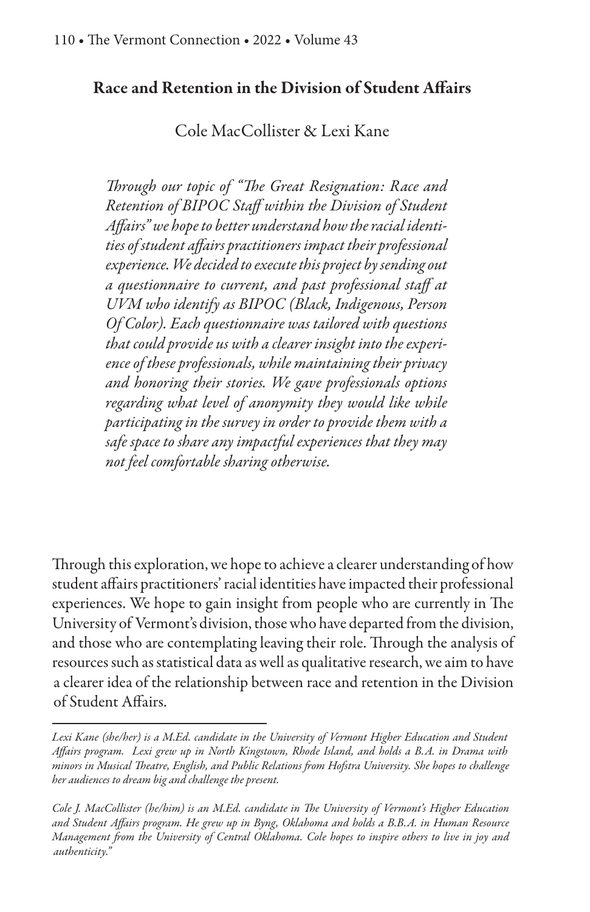## Race and Retention in the Division of Student Affairs

Cole MacCollister & Lexi Kane

\$*rough our topic of "*\$*e Great Resignation: Race and Retention of BIPOC Sta*" *within the Division of Student*  Affairs" we hope to better understand how the racial identi*ties of student a*"*airs practitioners impact their professional experience. We decided to execute this project by sending out a questionnaire to current, and past professional staff at UVM who identify as BIPOC (Black, Indigenous, Person Of Color). Each questionnaire was tailored with questions that could pro*v*ide us with a clearer insight into the experience of these professionals, while maintaining their privacy and honoring their stories. We gave professionals options regarding what level of anonymity they would like while participating in the survey in order to pro*v*ide them with a safe space to share any impactful experiences that they may not feel comfortable sharing otherwise.*

Through this exploration, we hope to achieve a clearer understanding of how student affairs practitioners' racial identities have impacted their professional experiences. We hope to gain insight from people who are currently in The University of Vermont's division, those who have departed from the division, and those who are contemplating leaving their role. Through the analysis of resources such as statistical data as well as qualitative research, we aim to have a clearer idea of the relationship between race and retention in the Division of Student A"airs.

Lexi Kane (she/her) is a M.Ed. candidate in the University of Vermont Higher Education and Student *A*"*airs program. Lexi grew up in North Kingstown, Rhode Island, and holds a B.A. in Drama with minors in Musical* \$*eatre, English, and Public Relations* !*om Hofstra University. She hopes to challenge her audiences to dream big and challenge the present.*

*Cole J. MacCollister (he/him) is an M.Ed. candidate in The University of Vermont's Higher Education and Student A*"*airs program. He grew up in Byng, Oklahoma and holds a B.B.A. in Human Resource Management* !*om the University of Central Oklahoma. Cole hopes to inspire others to live in joy and authenticity."*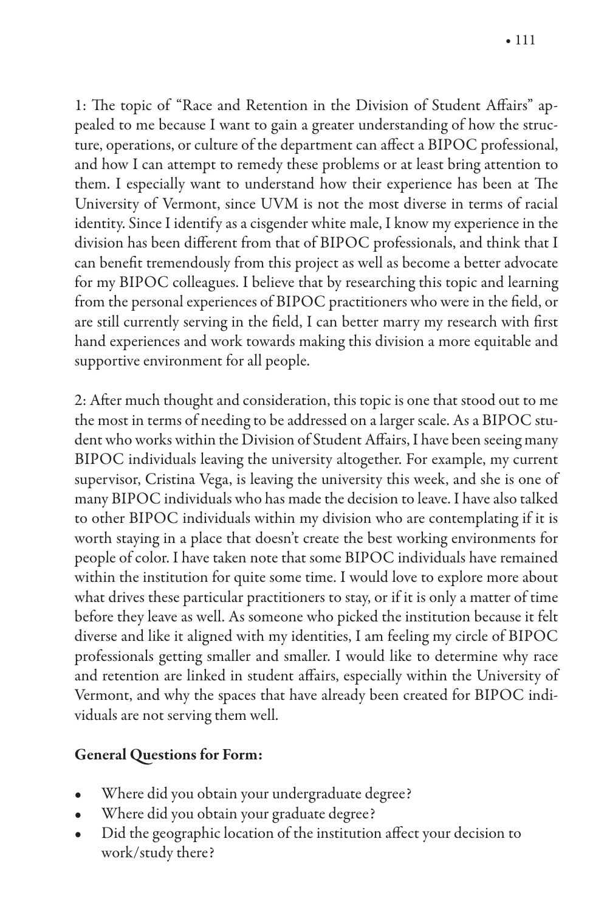1: The topic of "Race and Retention in the Division of Student Affairs" appealed to me because I want to gain a greater understanding of how the structure, operations, or culture of the department can affect a BIPOC professional, and how I can attempt to remedy these problems or at least bring attention to them. I especially want to understand how their experience has been at The University of Vermont, since UVM is not the most diverse in terms of racial identity. Since I identify as a cisgender white male, I know my experience in the division has been different from that of BIPOC professionals, and think that I can benefit tremendously from this project as well as become a better advocate for my BIPOC colleagues. I believe that by researching this topic and learning from the personal experiences of BIPOC practitioners who were in the field, or are still currently serving in the field, I can better marry my research with first hand experiences and work towards making this division a more equitable and supportive environment for all people.

2: After much thought and consideration, this topic is one that stood out to me the most in terms of needing to be addressed on a larger scale. As a BIPOC student who works within the Division of Student Affairs, I have been seeing many BIPOC individuals leaving the university altogether. For example, my current supervisor, Cristina Vega, is leaving the university this week, and she is one of many BIPOC individuals who has made the decision to leave. I have also talked to other BIPOC individuals within my division who are contemplating if it is worth staying in a place that doesn't create the best working environments for people of color. I have taken note that some BIPOC individuals have remained within the institution for quite some time. I would love to explore more about what drives these particular practitioners to stay, or if it is only a matter of time before they leave as well. As someone who picked the institution because it felt diverse and like it aligned with my identities, I am feeling my circle of BIPOC professionals getting smaller and smaller. I would like to determine why race and retention are linked in student affairs, especially within the University of Vermont, and why the spaces that have already been created for BIPOC individuals are not serving them well.

## General Questions for Form:

- Where did you obtain your undergraduate degree?
- Where did you obtain your graduate degree?
- Did the geographic location of the institution affect your decision to work/study there?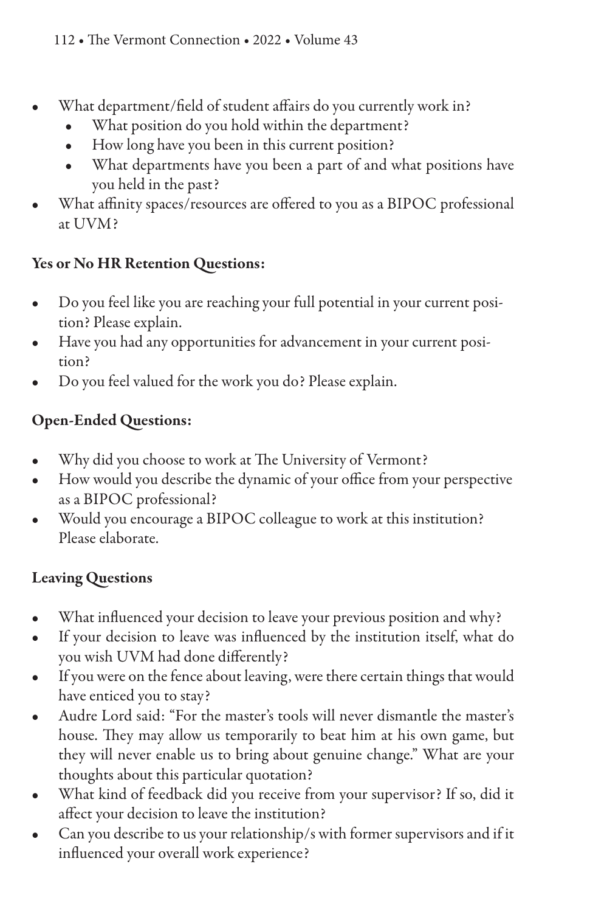- What department/field of student affairs do you currently work in?
	- What position do you hold within the department?
	- How long have you been in this current position?
	- What departments have you been a part of and what positions have you held in the past?
- What affinity spaces/resources are offered to you as a BIPOC professional at UVM?

## Yes or No HR Retention Questions:

- Do you feel like you are reaching your full potential in your current position? Please explain.
- Have you had any opportunities for advancement in your current position?
- Do you feel valued for the work you do? Please explain.

## Open-Ended Questions:

- Why did you choose to work at The University of Vermont?
- How would you describe the dynamic of your office from your perspective as a BIPOC professional?
- Would you encourage a BIPOC colleague to work at this institution? Please elaborate.

## Leaving Questions

- What influenced your decision to leave your previous position and why?
- If your decision to leave was influenced by the institution itself, what do you wish UVM had done differently?
- If you were on the fence about leaving, were there certain things that would have enticed you to stay?
- Audre Lord said: "For the master's tools will never dismantle the master's house. They may allow us temporarily to beat him at his own game, but they will never enable us to bring about genuine change." What are your thoughts about this particular quotation?
- What kind of feedback did you receive from your supervisor? If so, did it affect your decision to leave the institution?
- Can you describe to us your relationship/s with former supervisors and if it influenced your overall work experience?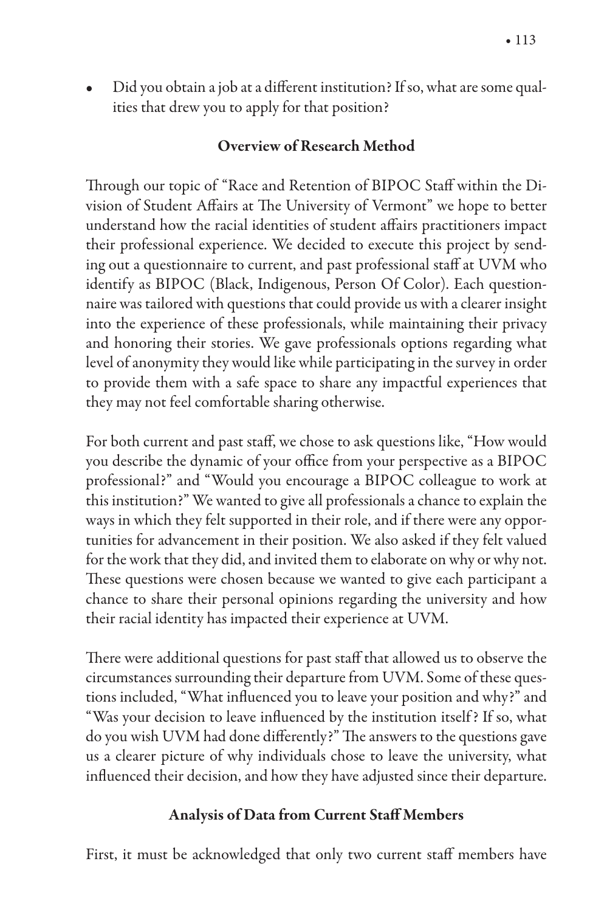• Did you obtain a job at a different institution? If so, what are some qualities that drew you to apply for that position?

#### Overview of Research Method

Through our topic of "Race and Retention of BIPOC Staff within the Division of Student Affairs at The University of Vermont" we hope to better understand how the racial identities of student affairs practitioners impact their professional experience. We decided to execute this project by sending out a questionnaire to current, and past professional staff at UVM who identify as BIPOC (Black, Indigenous, Person Of Color). Each questionnaire was tailored with questions that could provide us with a clearer insight into the experience of these professionals, while maintaining their privacy and honoring their stories. We gave professionals options regarding what level of anonymity they would like while participating in the survey in order to provide them with a safe space to share any impactful experiences that they may not feel comfortable sharing otherwise.

For both current and past staff, we chose to ask questions like, "How would you describe the dynamic of your office from your perspective as a BIPOC professional?" and "Would you encourage a BIPOC colleague to work at this institution?" We wanted to give all professionals a chance to explain the ways in which they felt supported in their role, and if there were any opportunities for advancement in their position. We also asked if they felt valued for the work that they did, and invited them to elaborate on why or why not. These questions were chosen because we wanted to give each participant a chance to share their personal opinions regarding the university and how their racial identity has impacted their experience at UVM.

There were additional questions for past staff that allowed us to observe the circumstances surrounding their departure from UVM. Some of these questions included, "What influenced you to leave your position and why?" and "Was your decision to leave in#uenced by the institution itself ? If so, what do you wish UVM had done differently?" The answers to the questions gave us a clearer picture of why individuals chose to leave the university, what influenced their decision, and how they have adjusted since their departure.

#### Analysis of Data from Current Staff Members

First, it must be acknowledged that only two current staff members have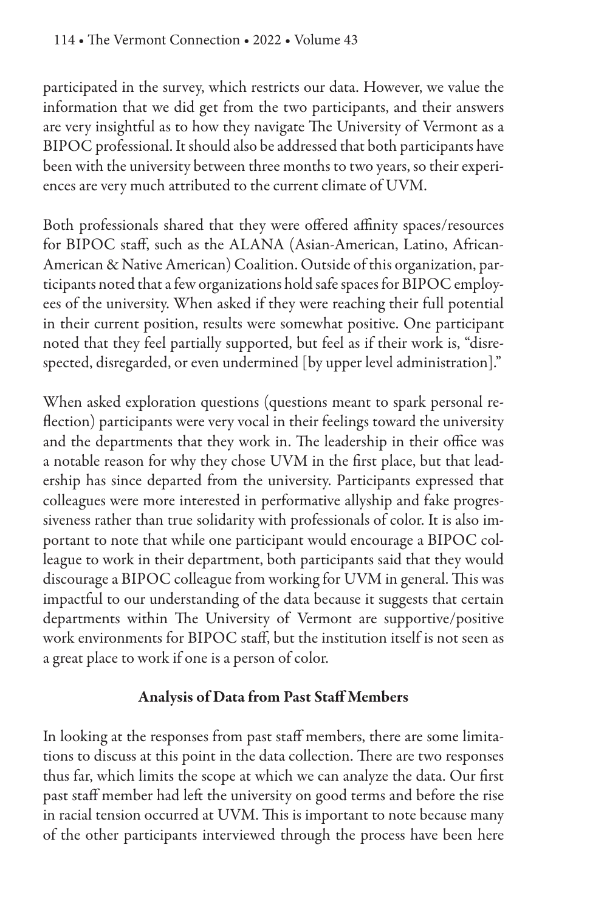participated in the survey, which restricts our data. However, we value the information that we did get from the two participants, and their answers are very insightful as to how they navigate The University of Vermont as a BIPOC professional. It should also be addressed that both participants have been with the university between three months to two years, so their experiences are very much attributed to the current climate of UVM.

Both professionals shared that they were offered affinity spaces/resources for BIPOC staff, such as the ALANA (Asian-American, Latino, African-American & Native American) Coalition. Outside of this organization, participants noted that a few organizations hold safe spaces for BIPOC employees of the university. When asked if they were reaching their full potential in their current position, results were somewhat positive. One participant noted that they feel partially supported, but feel as if their work is, "disrespected, disregarded, or even undermined [by upper level administration]."

When asked exploration questions (questions meant to spark personal re flection) participants were very vocal in their feelings toward the university and the departments that they work in. The leadership in their office was a notable reason for why they chose UVM in the first place, but that leadership has since departed from the university. Participants expressed that colleagues were more interested in performative allyship and fake progressiveness rather than true solidarity with professionals of color. It is also important to note that while one participant would encourage a BIPOC colleague to work in their department, both participants said that they would discourage a BIPOC colleague from working for UVM in general. This was impactful to our understanding of the data because it suggests that certain departments within The University of Vermont are supportive/positive work environments for BIPOC staff, but the institution itself is not seen as a great place to work if one is a person of color.

## Analysis of Data from Past Staff Members

In looking at the responses from past staff members, there are some limitations to discuss at this point in the data collection. There are two responses thus far, which limits the scope at which we can analyze the data. Our first past staff member had left the university on good terms and before the rise in racial tension occurred at UVM. This is important to note because many of the other participants interviewed through the process have been here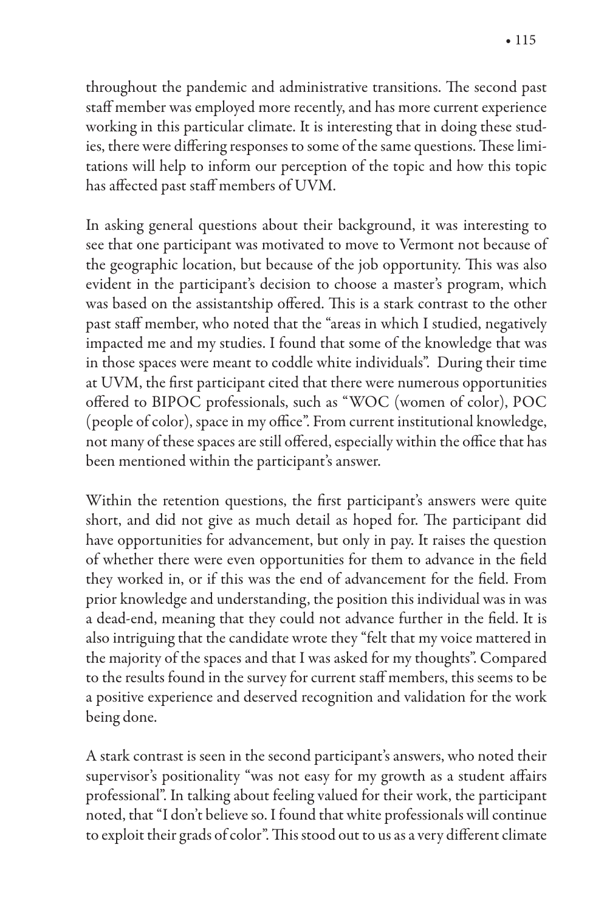throughout the pandemic and administrative transitions. The second past staff member was employed more recently, and has more current experience working in this particular climate. It is interesting that in doing these studies, there were differing responses to some of the same questions. These limitations will help to inform our perception of the topic and how this topic has affected past staff members of UVM.

In asking general questions about their background, it was interesting to see that one participant was motivated to move to Vermont not because of the geographic location, but because of the job opportunity. This was also evident in the participant's decision to choose a master's program, which was based on the assistantship offered. This is a stark contrast to the other past staff member, who noted that the "areas in which I studied, negatively impacted me and my studies. I found that some of the knowledge that was in those spaces were meant to coddle white individuals". During their time at UVM, the first participant cited that there were numerous opportunities offered to BIPOC professionals, such as "WOC (women of color), POC (people of color), space in my office". From current institutional knowledge, not many of these spaces are still offered, especially within the office that has been mentioned within the participant's answer.

Within the retention questions, the first participant's answers were quite short, and did not give as much detail as hoped for. The participant did have opportunities for advancement, but only in pay. It raises the question of whether there were even opportunities for them to advance in the field they worked in, or if this was the end of advancement for the field. From prior knowledge and understanding, the position this individual was in was a dead-end, meaning that they could not advance further in the field. It is also intriguing that the candidate wrote they "felt that my voice mattered in the majority of the spaces and that I was asked for my thoughts". Compared to the results found in the survey for current staff members, this seems to be a positive experience and deserved recognition and validation for the work being done.

A stark contrast is seen in the second participant's answers, who noted their supervisor's positionality "was not easy for my growth as a student affairs professional". In talking about feeling valued for their work, the participant noted, that "I don't believe so. I found that white professionals will continue to exploit their grads of color". This stood out to us as a very different climate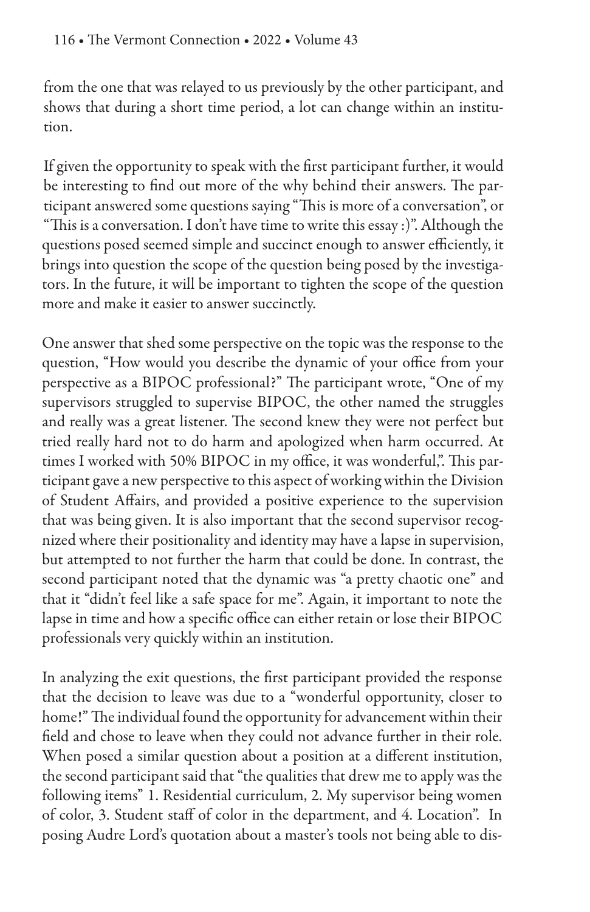from the one that was relayed to us previously by the other participant, and shows that during a short time period, a lot can change within an institution.

If given the opportunity to speak with the first participant further, it would be interesting to find out more of the why behind their answers. The participant answered some questions saying "This is more of a conversation", or "This is a conversation. I don't have time to write this essay :)". Although the questions posed seemed simple and succinct enough to answer efficiently, it brings into question the scope of the question being posed by the investigators. In the future, it will be important to tighten the scope of the question more and make it easier to answer succinctly.

One answer that shed some perspective on the topic was the response to the question, "How would you describe the dynamic of your office from your perspective as a BIPOC professional?" The participant wrote, "One of my supervisors struggled to supervise BIPOC, the other named the struggles and really was a great listener. The second knew they were not perfect but tried really hard not to do harm and apologized when harm occurred. At times I worked with 50% BIPOC in my office, it was wonderful,". This participant gave a new perspective to this aspect of working within the Division of Student Affairs, and provided a positive experience to the supervision that was being given. It is also important that the second supervisor recognized where their positionality and identity may have a lapse in supervision, but attempted to not further the harm that could be done. In contrast, the second participant noted that the dynamic was "a pretty chaotic one" and that it "didn't feel like a safe space for me". Again, it important to note the lapse in time and how a specific office can either retain or lose their BIPOC professionals very quickly within an institution.

In analyzing the exit questions, the first participant provided the response that the decision to leave was due to a "wonderful opportunity, closer to home!" The individual found the opportunity for advancement within their field and chose to leave when they could not advance further in their role. When posed a similar question about a position at a different institution, the second participant said that "the qualities that drew me to apply was the following items" 1. Residential curriculum, 2. My supervisor being women of color, 3. Student staff of color in the department, and 4. Location". In posing Audre Lord's quotation about a master's tools not being able to dis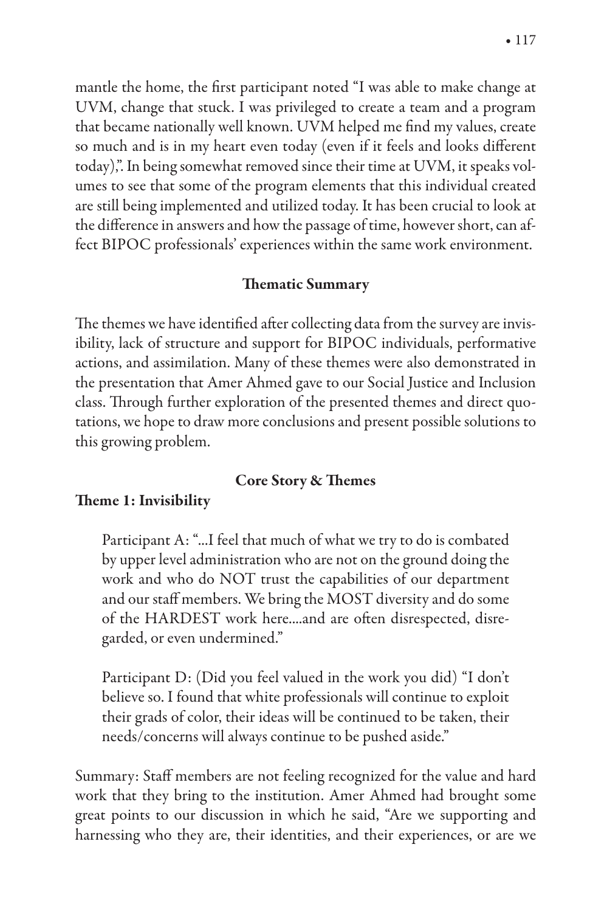mantle the home, the first participant noted "I was able to make change at UVM, change that stuck. I was privileged to create a team and a program that became nationally well known. UVM helped me find my values, create so much and is in my heart even today (even if it feels and looks different today),". In being somewhat removed since their time at UVM, it speaks volumes to see that some of the program elements that this individual created are still being implemented and utilized today. It has been crucial to look at the difference in answers and how the passage of time, however short, can affect BIPOC professionals' experiences within the same work environment.

#### **Thematic Summary**

The themes we have identified after collecting data from the survey are invisibility, lack of structure and support for BIPOC individuals, performative actions, and assimilation. Many of these themes were also demonstrated in the presentation that Amer Ahmed gave to our Social Justice and Inclusion class. Through further exploration of the presented themes and direct quotations, we hope to draw more conclusions and present possible solutions to this growing problem.

#### Core Story & Themes

#### Theme 1: Invisibility

Participant A: "...I feel that much of what we try to do is combated by upper level administration who are not on the ground doing the work and who do NOT trust the capabilities of our department and our staff members. We bring the MOST diversity and do some of the HARDEST work here....and are often disrespected, disregarded, or even undermined."

Participant D: (Did you feel valued in the work you did) "I don't believe so. I found that white professionals will continue to exploit their grads of color, their ideas will be continued to be taken, their needs/concerns will always continue to be pushed aside."

Summary: Staff members are not feeling recognized for the value and hard work that they bring to the institution. Amer Ahmed had brought some great points to our discussion in which he said, "Are we supporting and harnessing who they are, their identities, and their experiences, or are we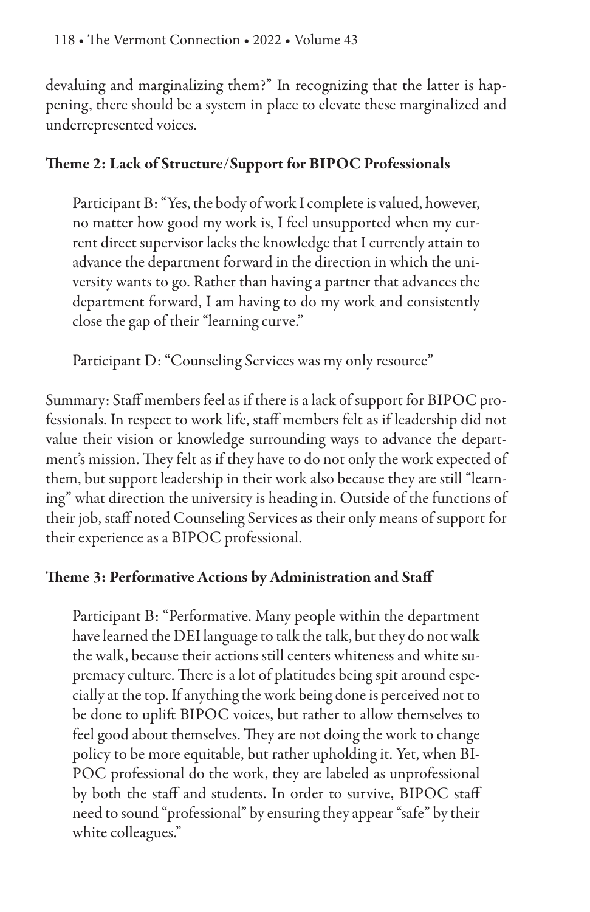devaluing and marginalizing them?" In recognizing that the latter is happening, there should be a system in place to elevate these marginalized and underrepresented voices.

## Theme 2: Lack of Structure/Support for BIPOC Professionals

Participant B: "Yes, the body of work I complete is valued, however, no matter how good my work is, I feel unsupported when my current direct supervisor lacks the knowledge that I currently attain to advance the department forward in the direction in which the university wants to go. Rather than having a partner that advances the department forward, I am having to do my work and consistently close the gap of their "learning curve."

Participant D: "Counseling Services was my only resource"

Summary: Staff members feel as if there is a lack of support for BIPOC professionals. In respect to work life, staff members felt as if leadership did not value their vision or knowledge surrounding ways to advance the department's mission. They felt as if they have to do not only the work expected of them, but support leadership in their work also because they are still "learning" what direction the university is heading in. Outside of the functions of their job, staff noted Counseling Services as their only means of support for their experience as a BIPOC professional.

## Theme 3: Performative Actions by Administration and Staff

Participant B: "Performative. Many people within the department have learned the DEI language to talk the talk, but they do not walk the walk, because their actions still centers whiteness and white supremacy culture. There is a lot of platitudes being spit around especially at the top. If anything the work being done is perceived not to be done to uplift BIPOC voices, but rather to allow themselves to feel good about themselves. They are not doing the work to change policy to be more equitable, but rather upholding it. Yet, when BI-POC professional do the work, they are labeled as unprofessional by both the staff and students. In order to survive, BIPOC staff need to sound "professional" by ensuring they appear "safe" by their white colleagues."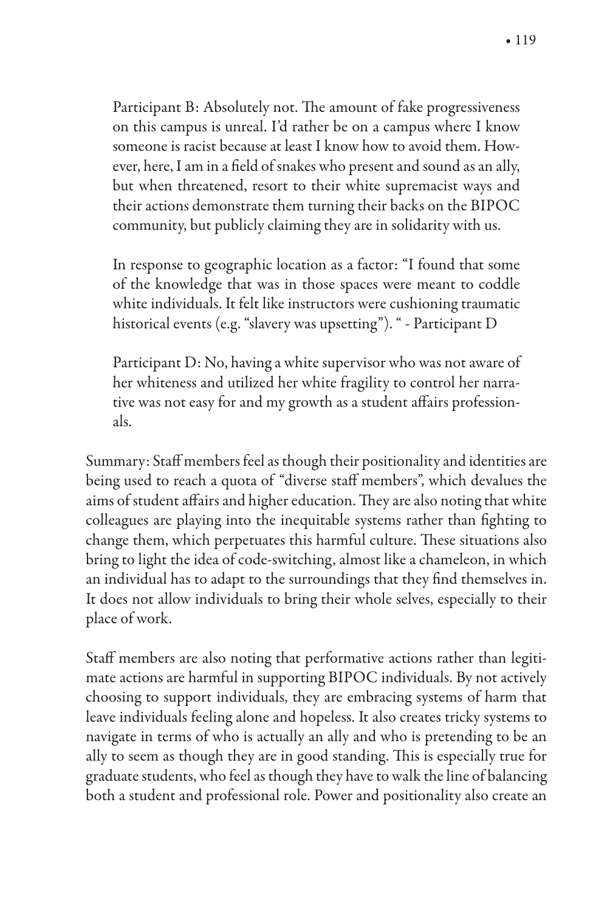Participant B: Absolutely not. The amount of fake progressiveness on this campus is unreal. I'd rather be on a campus where I know someone is racist because at least I know how to avoid them. However, here, I am in a field of snakes who present and sound as an ally, but when threatened, resort to their white supremacist ways and their actions demonstrate them turning their backs on the BIPOC community, but publicly claiming they are in solidarity with us.

In response to geographic location as a factor: "I found that some of the knowledge that was in those spaces were meant to coddle white individuals. It felt like instructors were cushioning traumatic historical events (e.g. "slavery was upsetting"). " - Participant D

Participant D: No, having a white supervisor who was not aware of her whiteness and utilized her white fragility to control her narrative was not easy for and my growth as a student affairs professionals.

Summary: Staff members feel as though their positionality and identities are being used to reach a quota of "diverse staff members", which devalues the aims of student affairs and higher education. They are also noting that white colleagues are playing into the inequitable systems rather than fighting to change them, which perpetuates this harmful culture. These situations also bring to light the idea of code-switching, almost like a chameleon, in which an individual has to adapt to the surroundings that they find themselves in. It does not allow individuals to bring their whole selves, especially to their place of work.

Staff members are also noting that performative actions rather than legitimate actions are harmful in supporting BIPOC individuals. By not actively choosing to support individuals, they are embracing systems of harm that leave individuals feeling alone and hopeless. It also creates tricky systems to navigate in terms of who is actually an ally and who is pretending to be an ally to seem as though they are in good standing. This is especially true for graduate students, who feel as though they have to walk the line of balancing both a student and professional role. Power and positionality also create an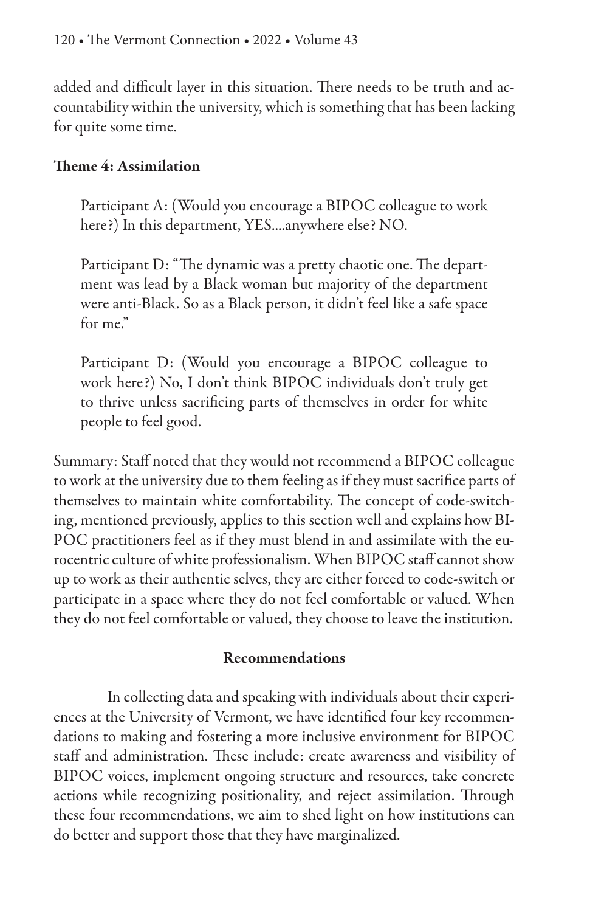added and difficult layer in this situation. There needs to be truth and accountability within the university, which is something that has been lacking for quite some time.

#### Theme 4: Assimilation

Participant A: (Would you encourage a BIPOC colleague to work here?) In this department, YES....anywhere else? NO.

Participant D: "The dynamic was a pretty chaotic one. The department was lead by a Black woman but majority of the department were anti-Black. So as a Black person, it didn't feel like a safe space for me."

Participant D: (Would you encourage a BIPOC colleague to work here?) No, I don't think BIPOC individuals don't truly get to thrive unless sacrificing parts of themselves in order for white people to feel good.

Summary: Staff noted that they would not recommend a BIPOC colleague to work at the university due to them feeling as if they must sacrifice parts of themselves to maintain white comfortability. The concept of code-switching, mentioned previously, applies to this section well and explains how BI-POC practitioners feel as if they must blend in and assimilate with the eurocentric culture of white professionalism. When BIPOC staff cannot show up to work as their authentic selves, they are either forced to code-switch or participate in a space where they do not feel comfortable or valued. When they do not feel comfortable or valued, they choose to leave the institution.

#### Recommendations

In collecting data and speaking with individuals about their experiences at the University of Vermont, we have identified four key recommendations to making and fostering a more inclusive environment for BIPOC staff and administration. These include: create awareness and visibility of BIPOC voices, implement ongoing structure and resources, take concrete actions while recognizing positionality, and reject assimilation. Through these four recommendations, we aim to shed light on how institutions can do better and support those that they have marginalized.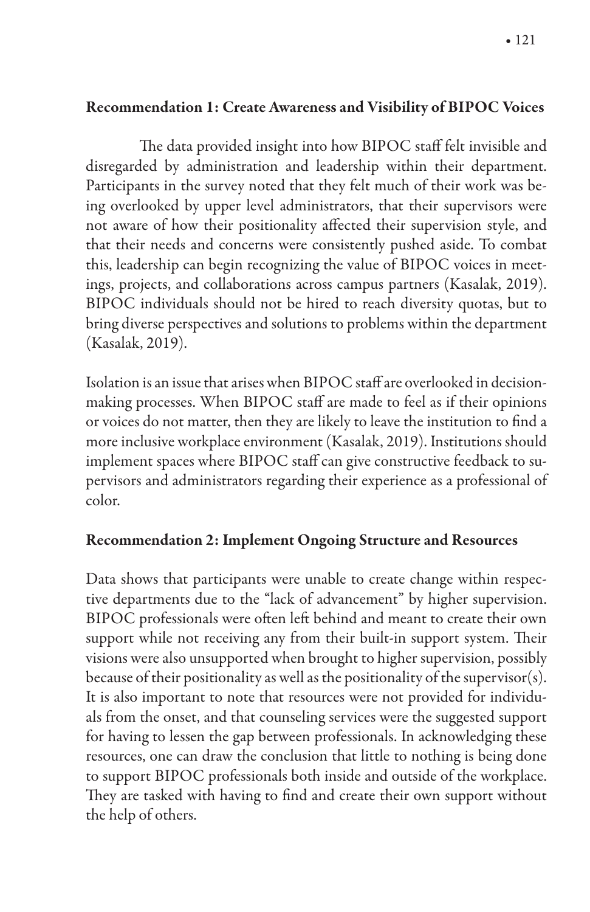## Recommendation 1: Create Awareness and Visibility of BIPOC Voices

The data provided insight into how BIPOC staff felt invisible and disregarded by administration and leadership within their department. Participants in the survey noted that they felt much of their work was being overlooked by upper level administrators, that their supervisors were not aware of how their positionality affected their supervision style, and that their needs and concerns were consistently pushed aside. To combat this, leadership can begin recognizing the value of BIPOC voices in meetings, projects, and collaborations across campus partners (Kasalak, 2019). BIPOC individuals should not be hired to reach diversity quotas, but to bring diverse perspectives and solutions to problems within the department (Kasalak, 2019).

Isolation is an issue that arises when BIPOC staff are overlooked in decisionmaking processes. When BIPOC staff are made to feel as if their opinions or voices do not matter, then they are likely to leave the institution to find a more inclusive workplace environment (Kasalak, 2019). Institutions should implement spaces where BIPOC staff can give constructive feedback to supervisors and administrators regarding their experience as a professional of color.

#### Recommendation 2: Implement Ongoing Structure and Resources

Data shows that participants were unable to create change within respective departments due to the "lack of advancement" by higher supervision. BIPOC professionals were often left behind and meant to create their own support while not receiving any from their built-in support system. Their visions were also unsupported when brought to higher supervision, possibly because of their positionality as well as the positionality of the supervisor(s). It is also important to note that resources were not provided for individuals from the onset, and that counseling services were the suggested support for having to lessen the gap between professionals. In acknowledging these resources, one can draw the conclusion that little to nothing is being done to support BIPOC professionals both inside and outside of the workplace. They are tasked with having to find and create their own support without the help of others.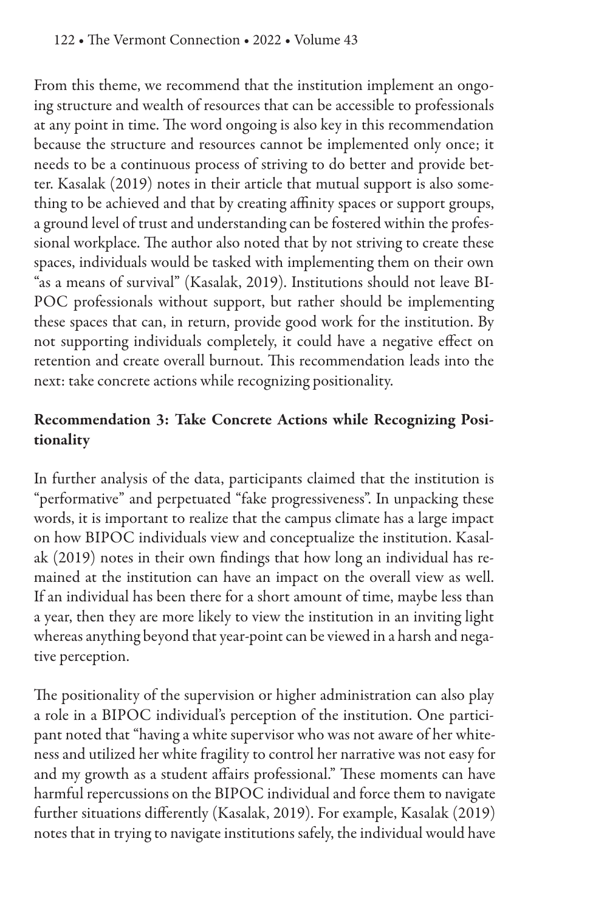From this theme, we recommend that the institution implement an ongoing structure and wealth of resources that can be accessible to professionals at any point in time. The word ongoing is also key in this recommendation because the structure and resources cannot be implemented only once; it needs to be a continuous process of striving to do better and provide better. Kasalak (2019) notes in their article that mutual support is also something to be achieved and that by creating affinity spaces or support groups, a ground level of trust and understanding can be fostered within the professional workplace. The author also noted that by not striving to create these spaces, individuals would be tasked with implementing them on their own "as a means of survival" (Kasalak, 2019). Institutions should not leave BI-POC professionals without support, but rather should be implementing these spaces that can, in return, provide good work for the institution. By not supporting individuals completely, it could have a negative effect on retention and create overall burnout. This recommendation leads into the next: take concrete actions while recognizing positionality.

## Recommendation 3: Take Concrete Actions while Recognizing Positionality

In further analysis of the data, participants claimed that the institution is "performative" and perpetuated "fake progressiveness". In unpacking these words, it is important to realize that the campus climate has a large impact on how BIPOC individuals view and conceptualize the institution. Kasalak (2019) notes in their own findings that how long an individual has remained at the institution can have an impact on the overall view as well. If an individual has been there for a short amount of time, maybe less than a year, then they are more likely to view the institution in an inviting light whereas anything beyond that year-point can be viewed in a harsh and negative perception.

The positionality of the supervision or higher administration can also play a role in a BIPOC individual's perception of the institution. One participant noted that "having a white supervisor who was not aware of her whiteness and utilized her white fragility to control her narrative was not easy for and my growth as a student affairs professional." These moments can have harmful repercussions on the BIPOC individual and force them to navigate further situations differently (Kasalak, 2019). For example, Kasalak (2019) notes that in trying to navigate institutions safely, the individual would have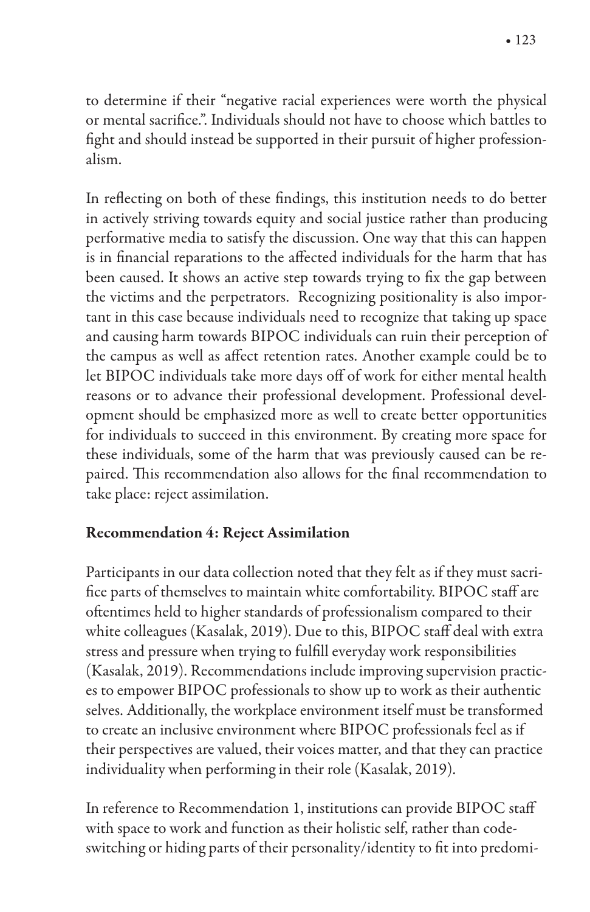to determine if their "negative racial experiences were worth the physical or mental sacrifice.". Individuals should not have to choose which battles to fight and should instead be supported in their pursuit of higher professionalism.

In reflecting on both of these findings, this institution needs to do better in actively striving towards equity and social justice rather than producing performative media to satisfy the discussion. One way that this can happen is in financial reparations to the affected individuals for the harm that has been caused. It shows an active step towards trying to fix the gap between the victims and the perpetrators. Recognizing positionality is also important in this case because individuals need to recognize that taking up space and causing harm towards BIPOC individuals can ruin their perception of the campus as well as affect retention rates. Another example could be to let BIPOC individuals take more days off of work for either mental health reasons or to advance their professional development. Professional development should be emphasized more as well to create better opportunities for individuals to succeed in this environment. By creating more space for these individuals, some of the harm that was previously caused can be repaired. This recommendation also allows for the final recommendation to take place: reject assimilation.

## Recommendation 4: Reject Assimilation

Participants in our data collection noted that they felt as if they must sacri fice parts of themselves to maintain white comfortability. BIPOC staff are oftentimes held to higher standards of professionalism compared to their white colleagues (Kasalak, 2019). Due to this, BIPOC staff deal with extra stress and pressure when trying to fulfill everyday work responsibilities (Kasalak, 2019). Recommendations include improving supervision practices to empower BIPOC professionals to show up to work as their authentic selves. Additionally, the workplace environment itself must be transformed to create an inclusive environment where BIPOC professionals feel as if their perspectives are valued, their voices matter, and that they can practice individuality when performing in their role (Kasalak, 2019).

In reference to Recommendation 1, institutions can provide BIPOC staff with space to work and function as their holistic self, rather than codeswitching or hiding parts of their personality/identity to fit into predomi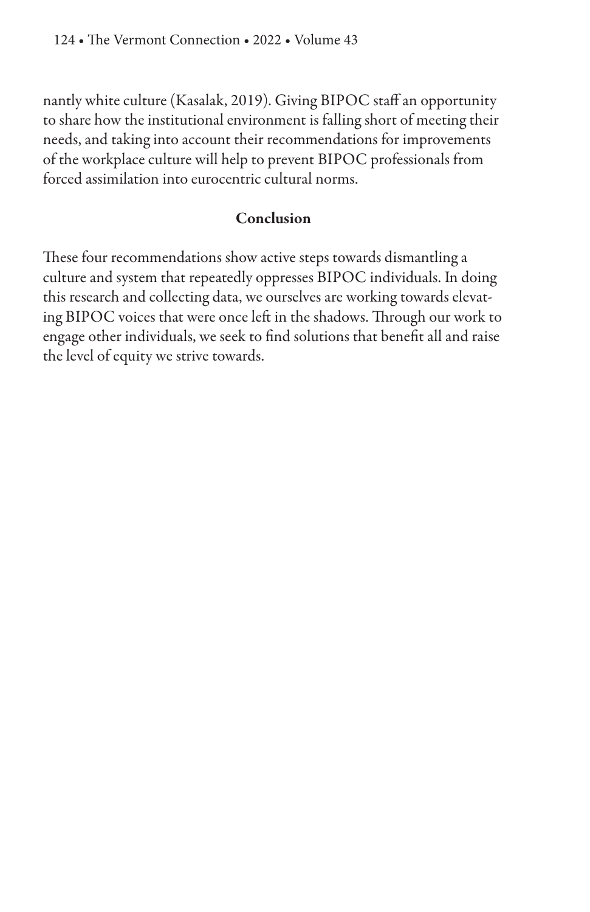nantly white culture (Kasalak, 2019). Giving BIPOC staff an opportunity to share how the institutional environment is falling short of meeting their needs, and taking into account their recommendations for improvements of the workplace culture will help to prevent BIPOC professionals from forced assimilation into eurocentric cultural norms.

## Conclusion

These four recommendations show active steps towards dismantling a culture and system that repeatedly oppresses BIPOC individuals. In doing this research and collecting data, we ourselves are working towards elevating BIPOC voices that were once left in the shadows. Through our work to engage other individuals, we seek to find solutions that benefit all and raise the level of equity we strive towards.